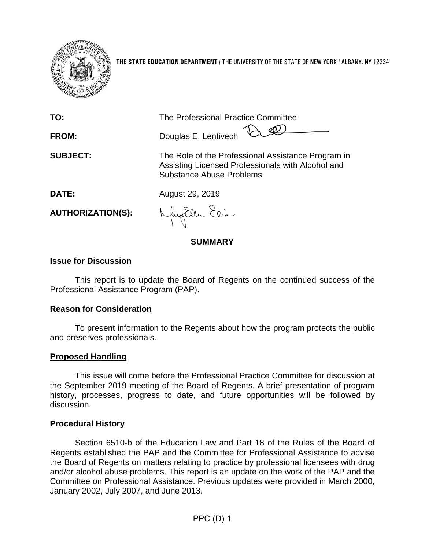

**THE STATE EDUCATION DEPARTMENT** / THE UNIVERSITY OF THE STATE OF NEW YORK / ALBANY, NY 12234

| TO:                      | The Professional Practice Committee                                                                                                        |
|--------------------------|--------------------------------------------------------------------------------------------------------------------------------------------|
|                          |                                                                                                                                            |
| <b>FROM:</b>             | Douglas E. Lentivech                                                                                                                       |
| <b>SUBJECT:</b>          | The Role of the Professional Assistance Program in<br>Assisting Licensed Professionals with Alcohol and<br><b>Substance Abuse Problems</b> |
| DATE:                    | August 29, 2019                                                                                                                            |
| <b>AUTHORIZATION(S):</b> | Nagollem Elia                                                                                                                              |
|                          |                                                                                                                                            |

### **SUMMARY**

### **Issue for Discussion**

This report is to update the Board of Regents on the continued success of the Professional Assistance Program (PAP).

# **Reason for Consideration**

To present information to the Regents about how the program protects the public and preserves professionals.

# **Proposed Handling**

This issue will come before the Professional Practice Committee for discussion at the September 2019 meeting of the Board of Regents. A brief presentation of program history, processes, progress to date, and future opportunities will be followed by discussion.

### **Procedural History**

Section 6510-b of the Education Law and Part 18 of the Rules of the Board of Regents established the PAP and the Committee for Professional Assistance to advise the Board of Regents on matters relating to practice by professional licensees with drug and/or alcohol abuse problems. This report is an update on the work of the PAP and the Committee on Professional Assistance. Previous updates were provided in March 2000, January 2002, July 2007, and June 2013.